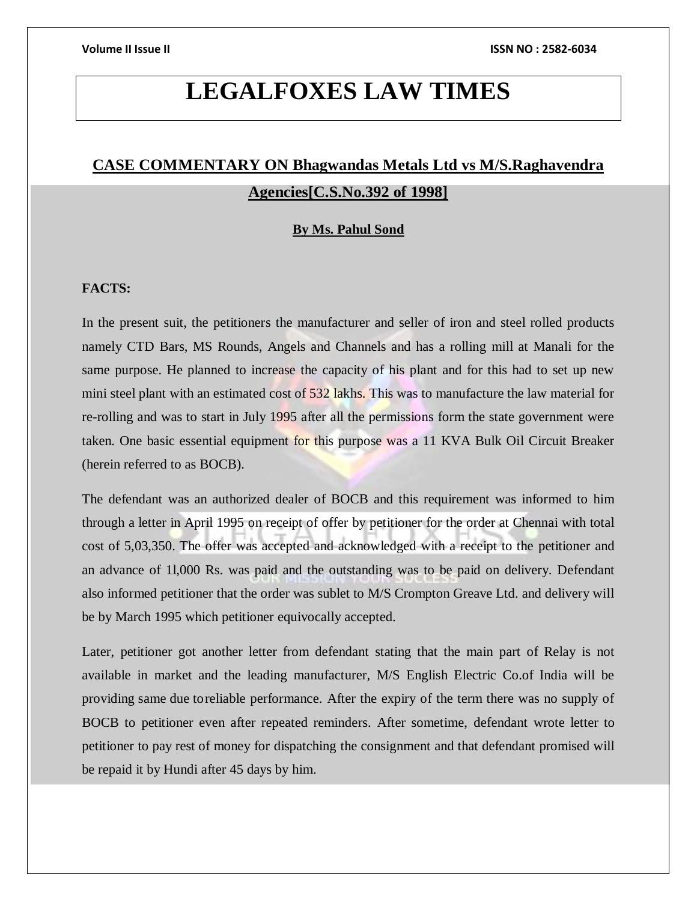# **LEGALFOXES LAW TIMES**

## **CASE COMMENTARY ON Bhagwandas Metals Ltd vs M/S.Raghavendra Agencies[C.S.No.392 of 1998]**

#### **By Ms. Pahul Sond**

### **FACTS:**

In the present suit, the petitioners the manufacturer and seller of iron and steel rolled products namely CTD Bars, MS Rounds, Angels and Channels and has a rolling mill at Manali for the same purpose. He planned to increase the capacity of his plant and for this had to set up new mini steel plant with an estimated cost of 532 lakhs. This was to manufacture the law material for re-rolling and was to start in July 1995 after all the permissions form the state government were taken. One basic essential equipment for this purpose was a 11 KVA Bulk Oil Circuit Breaker (herein referred to as BOCB).

The defendant was an authorized dealer of BOCB and this requirement was informed to him through a letter in April 1995 on receipt of offer by petitioner for the order at Chennai with total cost of 5,03,350. The offer was accepted and acknowledged with a receipt to the petitioner and an advance of 1l,000 Rs. was paid and the outstanding was to be paid on delivery. Defendant also informed petitioner that the order was sublet to M/S Crompton Greave Ltd. and delivery will be by March 1995 which petitioner equivocally accepted.

Later, petitioner got another letter from defendant stating that the main part of Relay is not available in market and the leading manufacturer, M/S English Electric Co.of India will be providing same due toreliable performance. After the expiry of the term there was no supply of BOCB to petitioner even after repeated reminders. After sometime, defendant wrote letter to petitioner to pay rest of money for dispatching the consignment and that defendant promised will be repaid it by Hundi after 45 days by him.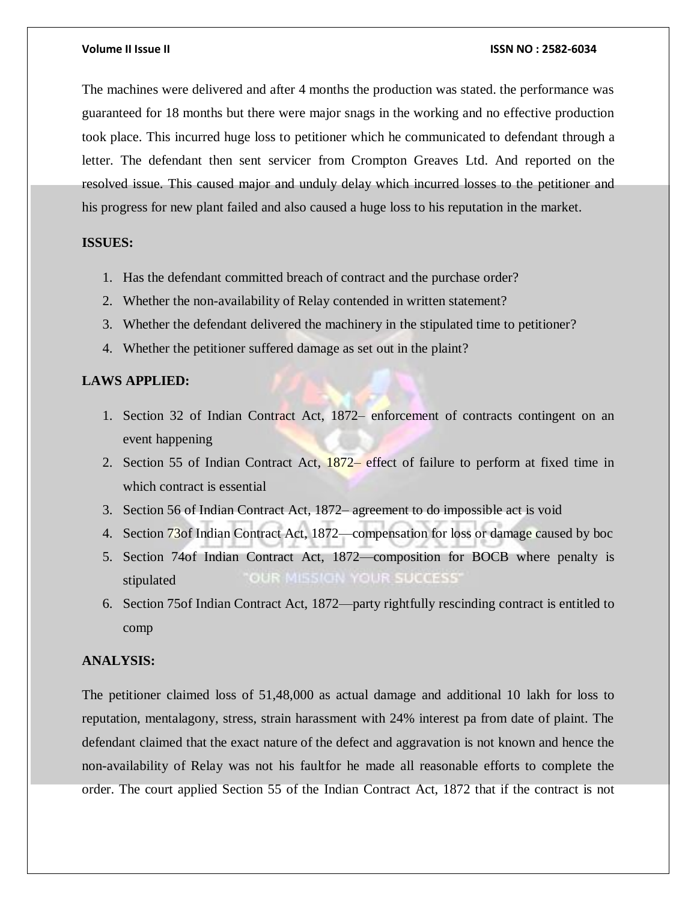#### **Volume II Issue II ISSN NO : 2582-6034**

The machines were delivered and after 4 months the production was stated. the performance was guaranteed for 18 months but there were major snags in the working and no effective production took place. This incurred huge loss to petitioner which he communicated to defendant through a letter. The defendant then sent servicer from Crompton Greaves Ltd. And reported on the resolved issue. This caused major and unduly delay which incurred losses to the petitioner and his progress for new plant failed and also caused a huge loss to his reputation in the market.

#### **ISSUES:**

- 1. Has the defendant committed breach of contract and the purchase order?
- 2. Whether the non-availability of Relay contended in written statement?
- 3. Whether the defendant delivered the machinery in the stipulated time to petitioner?
- 4. Whether the petitioner suffered damage as set out in the plaint?

#### **LAWS APPLIED:**

- 1. Section 32 of Indian Contract Act, 1872– enforcement of contracts contingent on an event happening
- 2. Section 55 of Indian Contract Act, 1872– effect of failure to perform at fixed time in which contract is essential
- 3. Section 56 of Indian Contract Act, 1872– agreement to do impossible act is void
- 4. Section 73of Indian Contract Act, 1872—compensation for loss or damage caused by boc
- 5. Section 74of Indian Contract Act, 1872—composition for BOCB where penalty is OUR MISSION YOUR SUCCESS' stipulated
- 6. Section 75of Indian Contract Act, 1872—party rightfully rescinding contract is entitled to comp

### **ANALYSIS:**

The petitioner claimed loss of 51,48,000 as actual damage and additional 10 lakh for loss to reputation, mentalagony, stress, strain harassment with 24% interest pa from date of plaint. The defendant claimed that the exact nature of the defect and aggravation is not known and hence the non-availability of Relay was not his faultfor he made all reasonable efforts to complete the order. The court applied Section 55 of the Indian Contract Act, 1872 that if the contract is not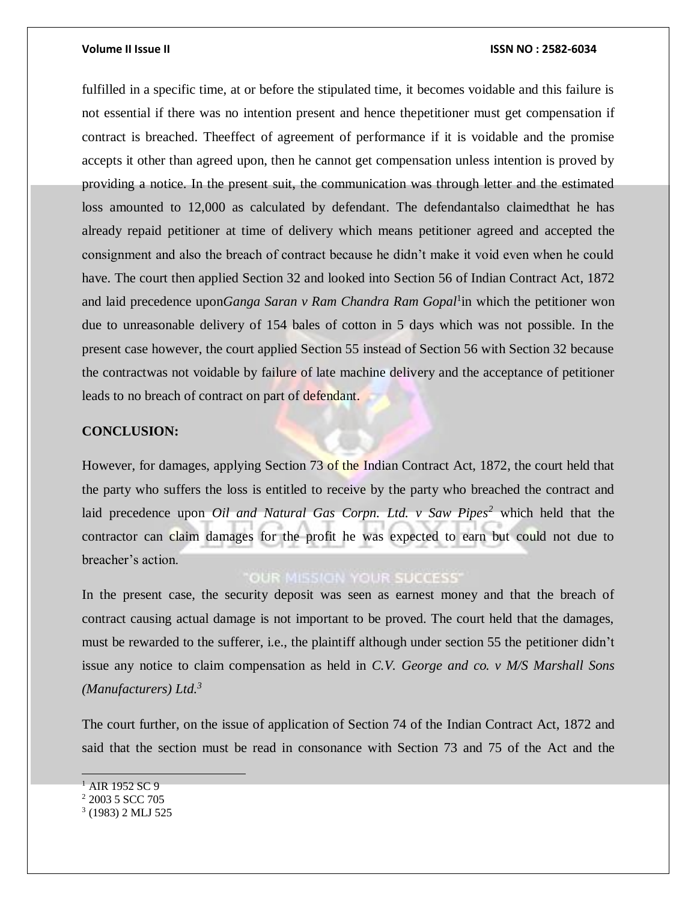#### **Volume II Issue II ISSN NO : 2582-6034**

fulfilled in a specific time, at or before the stipulated time, it becomes voidable and this failure is not essential if there was no intention present and hence thepetitioner must get compensation if contract is breached. Theeffect of agreement of performance if it is voidable and the promise accepts it other than agreed upon, then he cannot get compensation unless intention is proved by providing a notice. In the present suit, the communication was through letter and the estimated loss amounted to 12,000 as calculated by defendant. The defendantalso claimedthat he has already repaid petitioner at time of delivery which means petitioner agreed and accepted the consignment and also the breach of contract because he didn't make it void even when he could have. The court then applied Section 32 and looked into Section 56 of Indian Contract Act, 1872 and laid precedence upon*Ganga Saran v Ram Chandra Ram Gopal*<sup>1</sup> in which the petitioner won due to unreasonable delivery of 154 bales of cotton in 5 days which was not possible. In the present case however, the court applied Section 55 instead of Section 56 with Section 32 because the contractwas not voidable by failure of late machine delivery and the acceptance of petitioner leads to no breach of contract on part of defendant.

### **CONCLUSION:**

However, for damages, applying Section 73 of the Indian Contract Act, 1872, the court held that the party who suffers the loss is entitled to receive by the party who breached the contract and laid precedence upon *Oil and Natural Gas Corpn. Ltd. v Saw Pipes<sup>2</sup>* which held that the contractor can claim damages for the profit he was expected to earn but could not due to breacher's action.

### **OUR MISSION YOUR SUCCESS'**

In the present case, the security deposit was seen as earnest money and that the breach of contract causing actual damage is not important to be proved. The court held that the damages, must be rewarded to the sufferer, i.e., the plaintiff although under section 55 the petitioner didn't issue any notice to claim compensation as held in *C.V. George and co. v M/S Marshall Sons (Manufacturers) Ltd.<sup>3</sup>*

The court further, on the issue of application of Section 74 of the Indian Contract Act, 1872 and said that the section must be read in consonance with Section 73 and 75 of the Act and the

 $1$  AIR 1952 SC 9

<sup>2</sup> 2003 5 SCC 705

<sup>3</sup> (1983) 2 MLJ 525